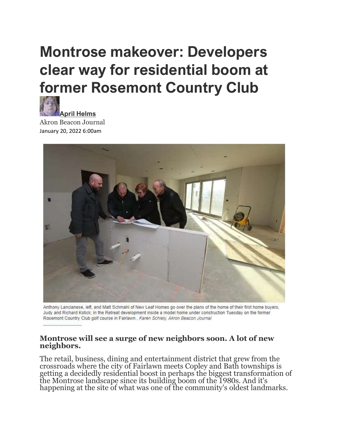# Montrose makeover: Developers clear way for residential boom at former Rosemont Country Club



Akron Beacon Journal January 20, 2022 6:00am



Anthony Lancianese, left, and Matt Schmahl of New Leaf Homes go over the plans of the home of their first home buyers, Judy and Richard Kotick, in the Retreat development inside a model home under construction Tuesday on the former Rosemont Country Club golf course in Fairlawn.. Karen Schiely, Akron Beacon Journal

#### Montrose will see a surge of new neighbors soon. A lot of new neighbors.

The retail, business, dining and entertainment district that grew from the crossroads where the city of Fairlawn meets Copley and Bath townships is getting a decidedly residential boost in perhaps the biggest transformation of the Montrose landscape since its building boom of the 1980s. And it's happening at the site of what was one of the community's oldest landmarks.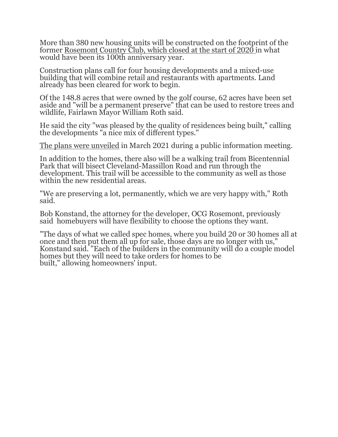More than 380 new housing units will be constructed on the footprint of the former Rosemont Country Club, which closed at the start of 2020 in what would have been its 100th anniversary year.

Construction plans call for four housing developments and a mixed-use building that will combine retail and restaurants with apartments. Land already has been cleared for work to begin.

Of the 148.8 acres that were owned by the golf course, 62 acres have been set aside and "will be a permanent preserve" that can be used to restore trees and wildlife, Fairlawn Mayor William Roth said.

He said the city "was pleased by the quality of residences being built," calling the developments "a nice mix of different types."

The plans were unveiled in March 2021 during a public information meeting.

In addition to the homes, there also will be a walking trail from Bicentennial Park that will bisect Cleveland-Massillon Road and run through the development. This trail will be accessible to the community as well as those within the new residential areas.

"We are preserving a lot, permanently, which we are very happy with," Roth said.

Bob Konstand, the attorney for the developer, OCG Rosemont, previously said homebuyers will have flexibility to choose the options they want.

"The days of what we called spec homes, where you build 20 or 30 homes all at once and then put them all up for sale, those days are no longer with us," Konstand said. "Each of the builders in the community will do a couple model homes but they will need to take orders for homes to be built," allowing homeowners' input.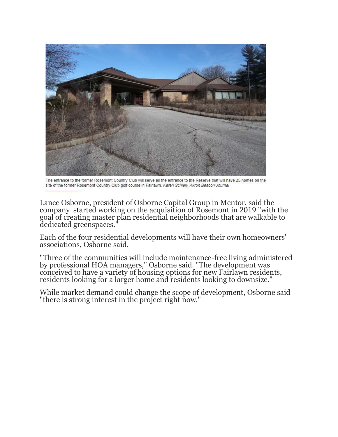

The entrance to the former Rosemont Country Club will serve as the entrance to the Reserve that will have 25 homes on the site of the former Rosemont Country Club golf course in Fairlawn. Karen Schiely, Akron Beacon Journal

Lance Osborne, president of Osborne Capital Group in Mentor, said the company started working on the acquisition of Rosemont in 2019 "with the goal of creating master plan residential neighborhoods that are walkable to dedicated greenspaces."

Each of the four residential developments will have their own homeowners' associations, Osborne said.

"Three of the communities will include maintenance-free living administered by professional HOA managers," Osborne said. "The development was conceived to have a variety of housing options for new Fairlawn residents, residents looking for a larger home and residents looking to downsize."

While market demand could change the scope of development, Osborne said "there is strong interest in the project right now."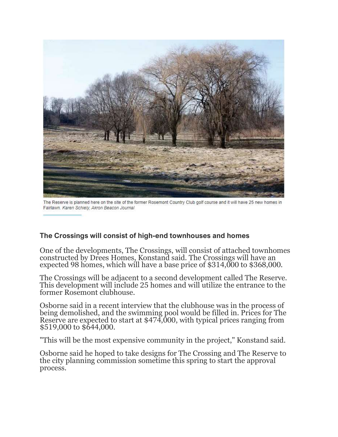

The Reserve is planned here on the site of the former Rosemont Country Club golf course and it will have 25 new homes in Fairlawn. Karen Schiely, Akron Beacon Journal

## The Crossings will consist of high-end townhouses and homes

One of the developments, The Crossings, will consist of attached townhomes constructed by Drees Homes, Konstand said. The Crossings will have an expected 98 homes, which will have a base price of \$314,000 to \$368,000.

The Crossings will be adjacent to a second development called The Reserve. This development will include 25 homes and will utilize the entrance to the former Rosemont clubhouse.

Osborne said in a recent interview that the clubhouse was in the process of being demolished, and the swimming pool would be filled in. Prices for The Reserve are expected to start at \$474,000, with typical prices ranging from \$519,000 to \$644,000.

"This will be the most expensive community in the project," Konstand said.

Osborne said he hoped to take designs for The Crossing and The Reserve to the city planning commission sometime this spring to start the approval process.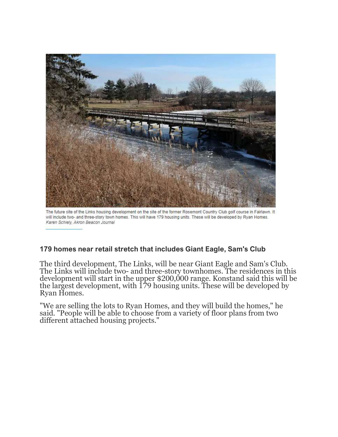

The future site of the Links housing development on the site of the former Rosemont Country Club golf course in Fairlawn. It will include two- and three-story town homes. This will have 179 housing units. These will be developed by Ryan Homes. Karen Schiely, Akron Beacon Journal

## 179 homes near retail stretch that includes Giant Eagle, Sam's Club

The third development, The Links, will be near Giant Eagle and Sam's Club. The Links will include two- and three-story townhomes. The residences in this development will start in the upper \$200,000 range. Konstand said this will be the largest development, with 179 housing units. These will be developed by Ryan Homes.

"We are selling the lots to Ryan Homes, and they will build the homes," he said. "People will be able to choose from a variety of floor plans from two different attached housing projects."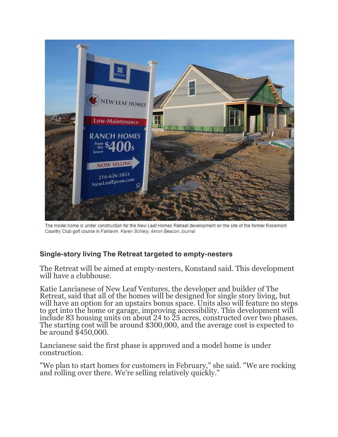

The model home is under construction for the New Leaf Homes Retreat development on the site of the former Rosemont Country Club golf course in Fairlawn. Karen Schiely, Akron Beacon Journal

## Single-story living The Retreat targeted to empty-nesters

The Retreat will be aimed at empty-nesters, Konstand said. This development will have a clubhouse.

Katie Lancianese of New Leaf Ventures, the developer and builder of The Retreat, said that all of the homes will be designed for single story living, but will have an option for an upstairs bonus space. Units also will feature no steps to get into the home or garage, improving accessibility. This development will include 83 housing units on about 24 to 25 acres, constructed over two phases. The starting cost will be around \$300,000, and the average cost is expected to be around \$450,000.

Lancianese said the first phase is approved and a model home is under construction.

"We plan to start homes for customers in February," she said. "We are rocking and rolling over there. We're selling relatively quickly."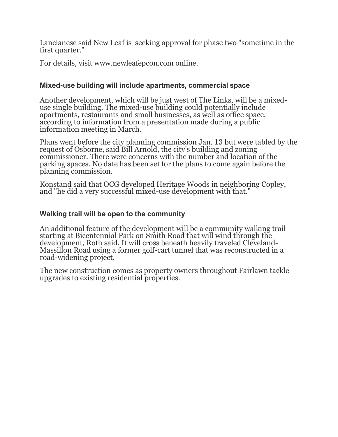Lancianese said New Leaf is seeking approval for phase two "sometime in the first quarter."

For details, visit www.newleafepcon.com online.

#### Mixed-use building will include apartments, commercial space

Another development, which will be just west of The Links, will be a mixeduse single building. The mixed-use building could potentially include apartments, restaurants and small businesses, as well as office space, according to information from a presentation made during a public information meeting in March.

Plans went before the city planning commission Jan. 13 but were tabled by the request of Osborne, said Bill Arnold, the city's building and zoning commissioner. There were concerns with the number and location of the parking spaces. No date has been set for the plans to come again before the planning commission.

Konstand said that OCG developed Heritage Woods in neighboring Copley, and "he did a very successful mixed-use development with that."

#### Walking trail will be open to the community

An additional feature of the development will be a community walking trail starting at Bicentennial Park on Smith Road that will wind through the development, Roth said. It will cross beneath heavily traveled Cleveland-Massillon Road using a former golf-cart tunnel that was reconstructed in a road-widening project.

The new construction comes as property owners throughout Fairlawn tackle upgrades to existing residential properties.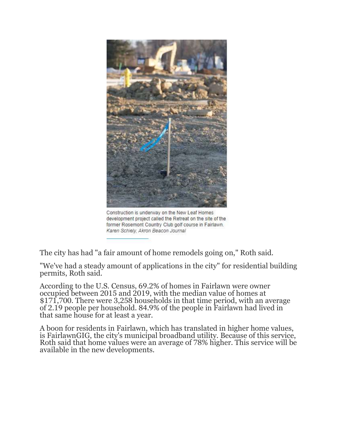

Construction is underway on the New Leaf Homes development project called the Retreat on the site of the former Rosemont Country Club golf course in Fairlawn. Karen Schiely, Akron Beacon Journal

The city has had "a fair amount of home remodels going on," Roth said.

"We've had a steady amount of applications in the city" for residential building permits, Roth said.

According to the U.S. Census, 69.2% of homes in Fairlawn were owner occupied between 2015 and 2019, with the median value of homes at \$171,700. There were 3,258 households in that time period, with an average of 2.19 people per household. 84.9% of the people in Fairlawn had lived in that same house for at least a year.

A boon for residents in Fairlawn, which has translated in higher home values, is FairlawnGIG, the city's municipal broadband utility. Because of this service, Roth said that home values were an average of 78% higher. This service will be available in the new developments.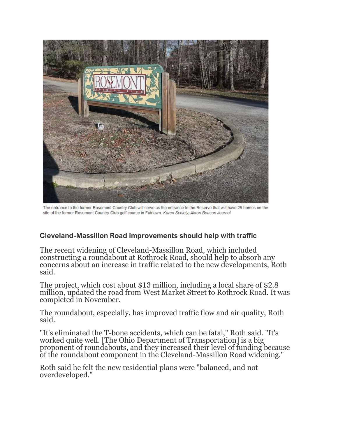

The entrance to the former Rosemont Country Club will serve as the entrance to the Reserve that will have 25 homes on the site of the former Rosemont Country Club golf course in Fairlawn. Karen Schiely, Akron Beacon Journal

## Cleveland-Massillon Road improvements should help with traffic

The recent widening of Cleveland-Massillon Road, which included constructing a roundabout at Rothrock Road, should help to absorb any concerns about an increase in traffic related to the new developments, Roth said.

The project, which cost about \$13 million, including a local share of \$2.8 million, updated the road from West Market Street to Rothrock Road. It was completed in November.

The roundabout, especially, has improved traffic flow and air quality, Roth said.

"It's eliminated the T-bone accidents, which can be fatal," Roth said. "It's worked quite well. [The Ohio Department of Transportation] is a big proponent of roundabouts, and they increased their level of funding because of the roundabout component in the Cleveland-Massillon Road widening."

Roth said he felt the new residential plans were "balanced, and not overdeveloped."